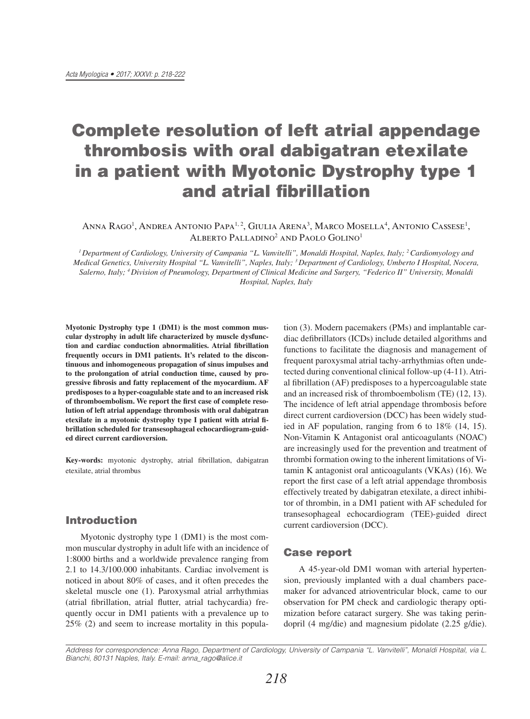# Complete resolution of left atrial appendage thrombosis with oral dabigatran etexilate in a patient with Myotonic Dystrophy type 1 and atrial fibrillation

Anna Rago<sup>1</sup>, Andrea Antonio Papa<sup>1, 2</sup>, Giulia Arena<sup>3</sup>, Marco Mosella<sup>4</sup>, Antonio Cassese<sup>1</sup>, ALBERTO PALLADINO<sup>2</sup> AND PAOLO GOLINO<sup>1</sup>

*1 Department of Cardiology, University of Campania "L. Vanvitelli", Monaldi Hospital, Naples, Italy; 2 Cardiomyology and Medical Genetics, University Hospital "L. Vanvitelli", Naples, Italy; 3 Department of Cardiology, Umberto I Hospital, Nocera, Salerno, Italy; 4 Division of Pneumology, Department of Clinical Medicine and Surgery, "Federico II" University, Monaldi Hospital, Naples, Italy*

**Myotonic Dystrophy type 1 (DM1) is the most common muscular dystrophy in adult life characterized by muscle dysfunction and cardiac conduction abnormalities. Atrial fibrillation frequently occurs in DM1 patients. It's related to the discontinuous and inhomogeneous propagation of sinus impulses and to the prolongation of atrial conduction time, caused by progressive fibrosis and fatty replacement of the myocardium. AF predisposes to a hyper-coagulable state and to an increased risk of thromboembolism. We report the first case of complete resolution of left atrial appendage thrombosis with oral dabigatran etexilate in a myotonic dystrophy type I patient with atrial fibrillation scheduled for transesophageal echocardiogram-guided direct current cardioversion.**

**Key-words:** myotonic dystrophy, atrial fibrillation, dabigatran etexilate, atrial thrombus

## Introduction

Myotonic dystrophy type 1 (DM1) is the most common muscular dystrophy in adult life with an incidence of 1:8000 births and a worldwide prevalence ranging from 2.1 to 14.3/100.000 inhabitants. Cardiac involvement is noticed in about 80% of cases, and it often precedes the skeletal muscle one  $(1)$ . Paroxysmal atrial arrhythmias (atrial fibrillation, atrial flutter, atrial tachycardia) frequently occur in DM1 patients with a prevalence up to 25% (2) and seem to increase mortality in this popula-

tion (3). Modern pacemakers (PMs) and implantable cardiac defibrillators (ICDs) include detailed algorithms and functions to facilitate the diagnosis and management of frequent paroxysmal atrial tachy-arrhythmias often undetected during conventional clinical follow-up (4-11). Atrial fibrillation (AF) predisposes to a hypercoagulable state and an increased risk of thromboembolism (TE) (12, 13). The incidence of left atrial appendage thrombosis before direct current cardioversion (DCC) has been widely studied in AF population, ranging from 6 to 18% (14, 15). Non-Vitamin K Antagonist oral anticoagulants (NOAC) are increasingly used for the prevention and treatment of thrombi formation owing to the inherent limitations of Vitamin K antagonist oral anticoagulants (VKAs) (16). We report the first case of a left atrial appendage thrombosis effectively treated by dabigatran etexilate, a direct inhibitor of thrombin, in a DM1 patient with AF scheduled for transesophageal echocardiogram (TEE)-guided direct current cardioversion (DCC).

## Case report

A 45-year-old DM1 woman with arterial hypertension, previously implanted with a dual chambers pacemaker for advanced atrioventricular block, came to our observation for PM check and cardiologic therapy optimization before cataract surgery. She was taking perindopril (4 mg/die) and magnesium pidolate (2.25 g/die).

*Address for correspondence: Anna Rago, Department of Cardiology, University of Campania "L. Vanvitelli", Monaldi Hospital, via L. Bianchi, 80131 Naples, Italy. E-mail: anna\_rago@alice.it*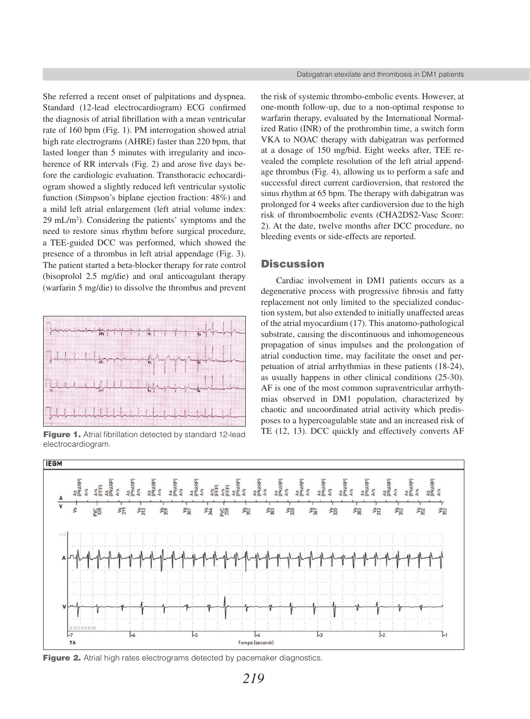She referred a recent onset of palpitations and dyspnea. Standard (12-lead electrocardiogram) ECG confirmed the diagnosis of atrial fibrillation with a mean ventricular rate of 160 bpm (Fig. 1). PM interrogation showed atrial high rate electrograms (AHRE) faster than 220 bpm, that lasted longer than 5 minutes with irregularity and incoherence of RR intervals (Fig. 2) and arose five days before the cardiologic evaluation. Transthoracic echocardiogram showed a slightly reduced left ventricular systolic function (Simpson's biplane ejection fraction: 48%) and a mild left atrial enlargement (left atrial volume index: 29 mL/m2 ). Considering the patients' symptoms and the need to restore sinus rhythm before surgical procedure, a TEE-guided DCC was performed, which showed the presence of a thrombus in left atrial appendage (Fig. 3). The patient started a beta-blocker therapy for rate control (bisoprolol 2.5 mg/die) and oral anticoagulant therapy (warfarin 5 mg/die) to dissolve the thrombus and prevent



electrocardiogram.

the risk of systemic thrombo-embolic events. However, at one-month follow-up, due to a non-optimal response to warfarin therapy, evaluated by the International Normalized Ratio (INR) of the prothrombin time, a switch form VKA to NOAC therapy with dabigatran was performed at a dosage of 150 mg/bid. Eight weeks after, TEE revealed the complete resolution of the left atrial appendage thrombus (Fig. 4), allowing us to perform a safe and successful direct current cardioversion, that restored the sinus rhythm at 65 bpm. The therapy with dabigatran was prolonged for 4 weeks after cardioversion due to the high risk of thromboembolic events (CHA2DS2-Vasc Score: 2). At the date, twelve months after DCC procedure, no bleeding events or side-effects are reported.

# **Discussion**

Cardiac involvement in DM1 patients occurs as a degenerative process with progressive fibrosis and fatty replacement not only limited to the specialized conduction system, but also extended to initially unaffected areas of the atrial myocardium (17). This anatomo-pathological substrate, causing the discontinuous and inhomogeneous propagation of sinus impulses and the prolongation of atrial conduction time, may facilitate the onset and perpetuation of atrial arrhythmias in these patients (18-24), as usually happens in other clinical conditions (25-30). AF is one of the most common supraventricular arrhythmias observed in DM1 population, characterized by chaotic and uncoordinated atrial activity which predisposes to a hypercoagulable state and an increased risk of Figure 1. Atrial fibrillation detected by standard 12-lead TE (12, 13). DCC quickly and effectively converts AF



Figure 2. Atrial high rates electrograms detected by pacemaker diagnostics.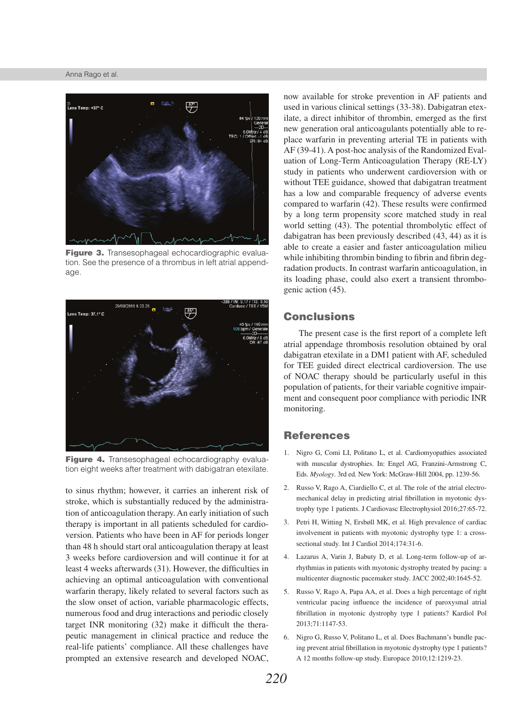#### Anna Rago et al.



Figure 3. Transesophageal echocardiographic evaluation. See the presence of a thrombus in left atrial appendage.



Figure 4. Transesophageal echocardiography evaluation eight weeks after treatment with dabigatran etexilate.

to sinus rhythm; however, it carries an inherent risk of stroke, which is substantially reduced by the administration of anticoagulation therapy. An early initiation of such therapy is important in all patients scheduled for cardioversion. Patients who have been in AF for periods longer than 48 h should start oral anticoagulation therapy at least 3 weeks before cardioversion and will continue it for at least 4 weeks afterwards (31). However, the difficulties in achieving an optimal anticoagulation with conventional warfarin therapy, likely related to several factors such as the slow onset of action, variable pharmacologic effects, numerous food and drug interactions and periodic closely target INR monitoring (32) make it difficult the therapeutic management in clinical practice and reduce the real-life patients' compliance. All these challenges have prompted an extensive research and developed NOAC,

now available for stroke prevention in AF patients and used in various clinical settings (33-38). Dabigatran etexilate, a direct inhibitor of thrombin, emerged as the first new generation oral anticoagulants potentially able to replace warfarin in preventing arterial TE in patients with AF (39-41). A post-hoc analysis of the Randomized Evaluation of Long-Term Anticoagulation Therapy (RE-LY) study in patients who underwent cardioversion with or without TEE guidance, showed that dabigatran treatment has a low and comparable frequency of adverse events compared to warfarin (42). These results were confirmed by a long term propensity score matched study in real world setting (43). The potential thrombolytic effect of dabigatran has been previously described (43, 44) as it is able to create a easier and faster anticoagulation milieu while inhibiting thrombin binding to fibrin and fibrin degradation products. In contrast warfarin anticoagulation, in its loading phase, could also exert a transient thrombogenic action (45).

# **Conclusions**

The present case is the first report of a complete left atrial appendage thrombosis resolution obtained by oral dabigatran etexilate in a DM1 patient with AF, scheduled for TEE guided direct electrical cardioversion. The use of NOAC therapy should be particularly useful in this population of patients, for their variable cognitive impairment and consequent poor compliance with periodic INR monitoring.

#### References

- 1. Nigro G, Comi LI, Politano L, et al. Cardiomyopathies associated with muscular dystrophies. In: Engel AG, Franzini-Armstrong C, Eds. *Myology*. 3rd ed. New York: McGraw-Hill 2004, pp. 1239-56.
- 2. Russo V, Rago A, Ciardiello C, et al. The role of the atrial electromechanical delay in predicting atrial fibrillation in myotonic dystrophy type 1 patients. J Cardiovasc Electrophysiol 2016;27:65-72.
- 3. Petri H, Witting N, Ersbøll MK, et al. High prevalence of cardiac involvement in patients with myotonic dystrophy type 1: a crosssectional study. Int J Cardiol 2014;174:31-6.
- 4. Lazarus A, Varin J, Babuty D, et al. Long-term follow-up of arrhythmias in patients with myotonic dystrophy treated by pacing: a multicenter diagnostic pacemaker study. JACC 2002;40:1645-52.
- 5. Russo V, Rago A, Papa AA, et al. Does a high percentage of right ventricular pacing influence the incidence of paroxysmal atrial fibrillation in myotonic dystrophy type 1 patients? Kardiol Pol 2013;71:1147-53.
- 6. Nigro G, Russo V, Politano L, et al. Does Bachmann's bundle pacing prevent atrial fibrillation in myotonic dystrophy type 1 patients? A 12 months follow-up study. Europace 2010;12:1219-23.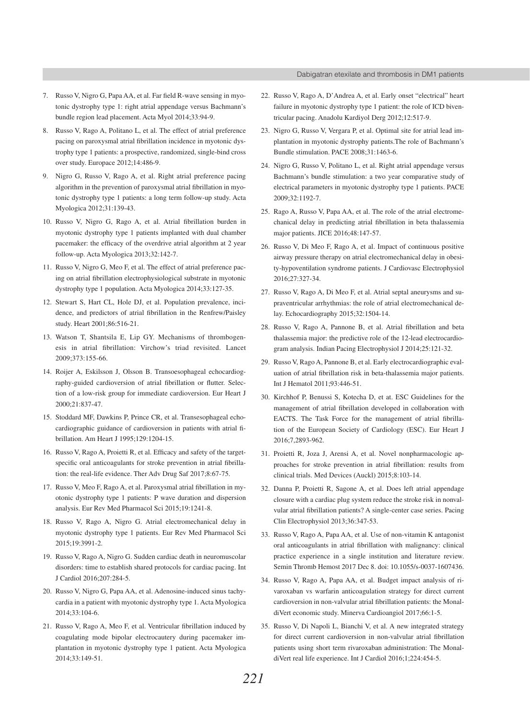- 7. Russo V, Nigro G, Papa AA, et al. Far field R-wave sensing in myotonic dystrophy type 1: right atrial appendage versus Bachmann's bundle region lead placement. Acta Myol 2014;33:94-9.
- 8. Russo V, Rago A, Politano L, et al. The effect of atrial preference pacing on paroxysmal atrial fibrillation incidence in myotonic dystrophy type 1 patients: a prospective, randomized, single-bind cross over study. Europace 2012;14:486-9.
- 9. Nigro G, Russo V, Rago A, et al. Right atrial preference pacing algorithm in the prevention of paroxysmal atrial fibrillation in myotonic dystrophy type 1 patients: a long term follow-up study. Acta Myologica 2012;31:139-43.
- 10. Russo V, Nigro G, Rago A, et al. Atrial fibrillation burden in myotonic dystrophy type 1 patients implanted with dual chamber pacemaker: the efficacy of the overdrive atrial algorithm at 2 year follow-up. Acta Myologica 2013;32:142-7.
- 11. Russo V, Nigro G, Meo F, et al. The effect of atrial preference pacing on atrial fibrillation electrophysiological substrate in myotonic dystrophy type 1 population. Acta Myologica 2014;33:127-35.
- 12. Stewart S, Hart CL, Hole DJ, et al. Population prevalence, incidence, and predictors of atrial fibrillation in the Renfrew/Paisley study. Heart 2001;86:516-21.
- 13. Watson T, Shantsila E, Lip GY. Mechanisms of thrombogenesis in atrial fibrillation: Virchow's triad revisited. Lancet 2009;373:155-66.
- 14. Roijer A, Eskilsson J, Olsson B. Transoesophageal echocardiography-guided cardioversion of atrial fibrillation or flutter. Selection of a low-risk group for immediate cardioversion. Eur Heart J 2000;21:837-47.
- 15. Stoddard MF, Dawkins P, Prince CR, et al. Transesophageal echocardiographic guidance of cardioversion in patients with atrial fibrillation. Am Heart J 1995;129:1204-15.
- 16. Russo V, Rago A, Proietti R, et al. Efficacy and safety of the targetspecific oral anticoagulants for stroke prevention in atrial fibrillation: the real-life evidence. Ther Adv Drug Saf 2017;8:67-75.
- 17. Russo V, Meo F, Rago A, et al. Paroxysmal atrial fibrillation in myotonic dystrophy type 1 patients: P wave duration and dispersion analysis. Eur Rev Med Pharmacol Sci 2015;19:1241-8.
- 18. Russo V, Rago A, Nigro G. Atrial electromechanical delay in myotonic dystrophy type 1 patients. Eur Rev Med Pharmacol Sci 2015;19:3991-2.
- 19. Russo V, Rago A, Nigro G. Sudden cardiac death in neuromuscolar disorders: time to establish shared protocols for cardiac pacing. Int J Cardiol 2016;207:284-5.
- 20. Russo V, Nigro G, Papa AA, et al. Adenosine-induced sinus tachycardia in a patient with myotonic dystrophy type 1. Acta Myologica 2014;33:104-6.
- 21. Russo V, Rago A, Meo F, et al. Ventricular fibrillation induced by coagulating mode bipolar electrocautery during pacemaker implantation in myotonic dystrophy type 1 patient. Acta Myologica 2014;33:149-51.
- 22. Russo V, Rago A, D'Andrea A, et al. Early onset "electrical" heart failure in myotonic dystrophy type 1 patient: the role of ICD biventricular pacing. Anadolu Kardiyol Derg 2012;12:517-9.
- 23. Nigro G, Russo V, Vergara P, et al. Optimal site for atrial lead implantation in myotonic dystrophy patients.The role of Bachmann's Bundle stimulation. PACE 2008;31:1463-6.
- 24. Nigro G, Russo V, Politano L, et al. Right atrial appendage versus Bachmann's bundle stimulation: a two year comparative study of electrical parameters in myotonic dystrophy type 1 patients. PACE 2009;32:1192-7.
- 25. Rago A, Russo V, Papa AA, et al. The role of the atrial electromechanical delay in predicting atrial fibrillation in beta thalassemia major patients. JICE 2016;48:147-57.
- 26. Russo V, Di Meo F, Rago A, et al. Impact of continuous positive airway pressure therapy on atrial electromechanical delay in obesity-hypoventilation syndrome patients. J Cardiovasc Electrophysiol 2016;27:327-34.
- 27. Russo V, Rago A, Di Meo F, et al. Atrial septal aneurysms and supraventricular arrhythmias: the role of atrial electromechanical delay. Echocardiography 2015;32:1504-14.
- 28. Russo V, Rago A, Pannone B, et al. Atrial fibrillation and beta thalassemia major: the predictive role of the 12-lead electrocardiogram analysis. Indian Pacing Electrophysiol J 2014;25:121-32.
- 29. Russo V, Rago A, Pannone B, et al. Early electrocardiographic evaluation of atrial fibrillation risk in beta-thalassemia major patients. Int J Hematol 2011;93:446-51.
- 30. Kirchhof P, Benussi S, Kotecha D, et at. ESC Guidelines for the management of atrial fibrillation developed in collaboration with EACTS. The Task Force for the management of atrial fibrillation of the European Society of Cardiology (ESC). Eur Heart J 2016;7,2893-962.
- 31. Proietti R, Joza J, Arensi A, et al. Novel nonpharmacologic approaches for stroke prevention in atrial fibrillation: results from clinical trials. Med Devices (Auckl) 2015;8:103-14.
- 32. Danna P, Proietti R, Sagone A, et al. Does left atrial appendage closure with a cardiac plug system reduce the stroke risk in nonvalvular atrial fibrillation patients? A single-center case series. Pacing Clin Electrophysiol 2013;36:347-53.
- 33. Russo V, Rago A, Papa AA, et al. Use of non-vitamin K antagonist oral anticoagulants in atrial fibrillation with malignancy: clinical practice experience in a single institution and literature review. Semin Thromb Hemost 2017 Dec 8. doi: 10.1055/s-0037-1607436.
- 34. Russo V, Rago A, Papa AA, et al. Budget impact analysis of rivaroxaban vs warfarin anticoagulation strategy for direct current cardioversion in non-valvular atrial fibrillation patients: the MonaldiVert economic study. Minerva Cardioangiol 2017;66:1-5.
- 35. Russo V, Di Napoli L, Bianchi V, et al. A new integrated strategy for direct current cardioversion in non-valvular atrial fibrillation patients using short term rivaroxaban administration: The MonaldiVert real life experience. Int J Cardiol 2016;1;224:454-5.